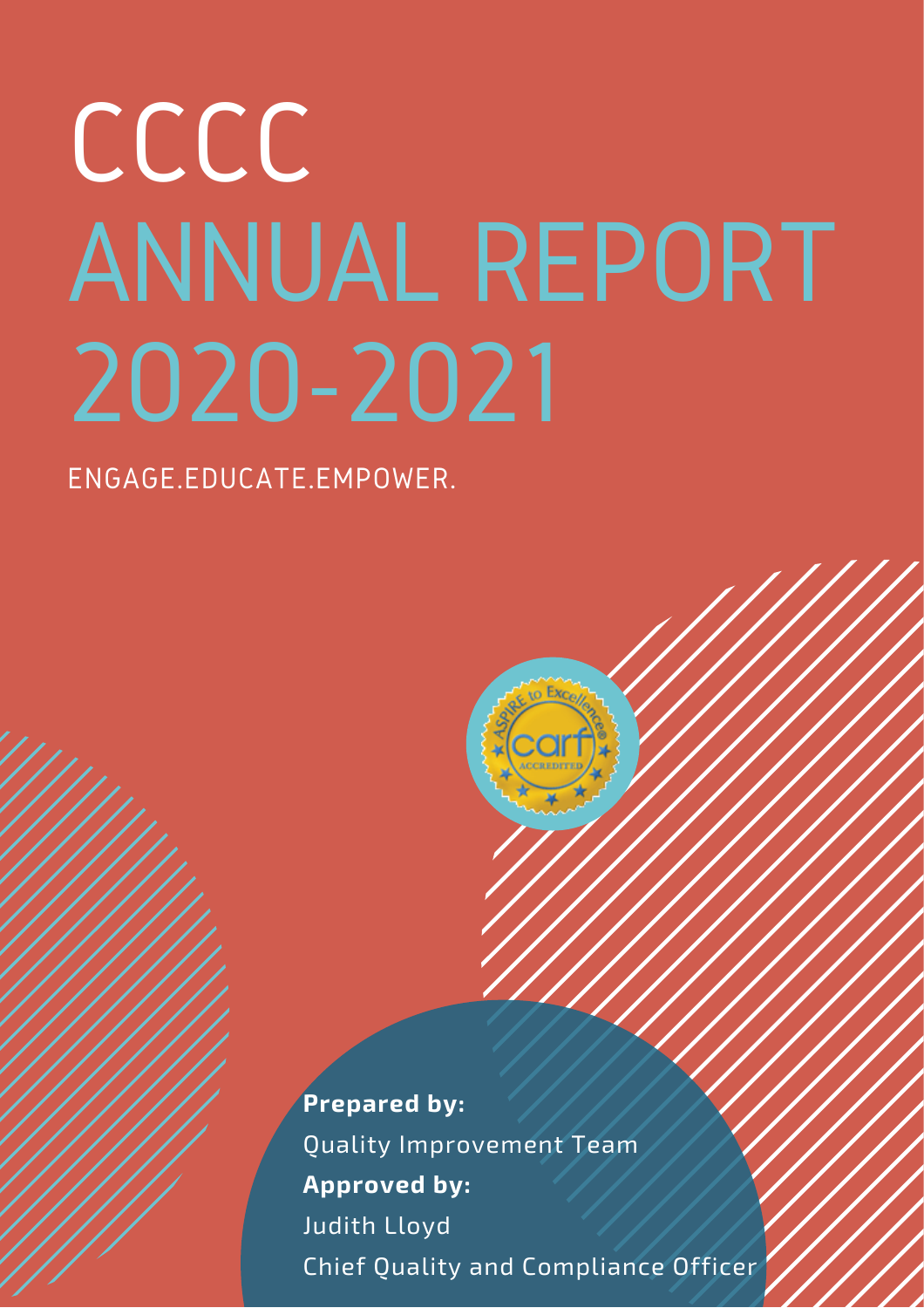# CCCC ANNUAL REPORT 2020-2021

ENGAGE.EDUCATE.EMPOWER.

**Prepared by:** Quality Improvement Team **Approved by:** Judith Lloyd Chief Quality and Compliance Officer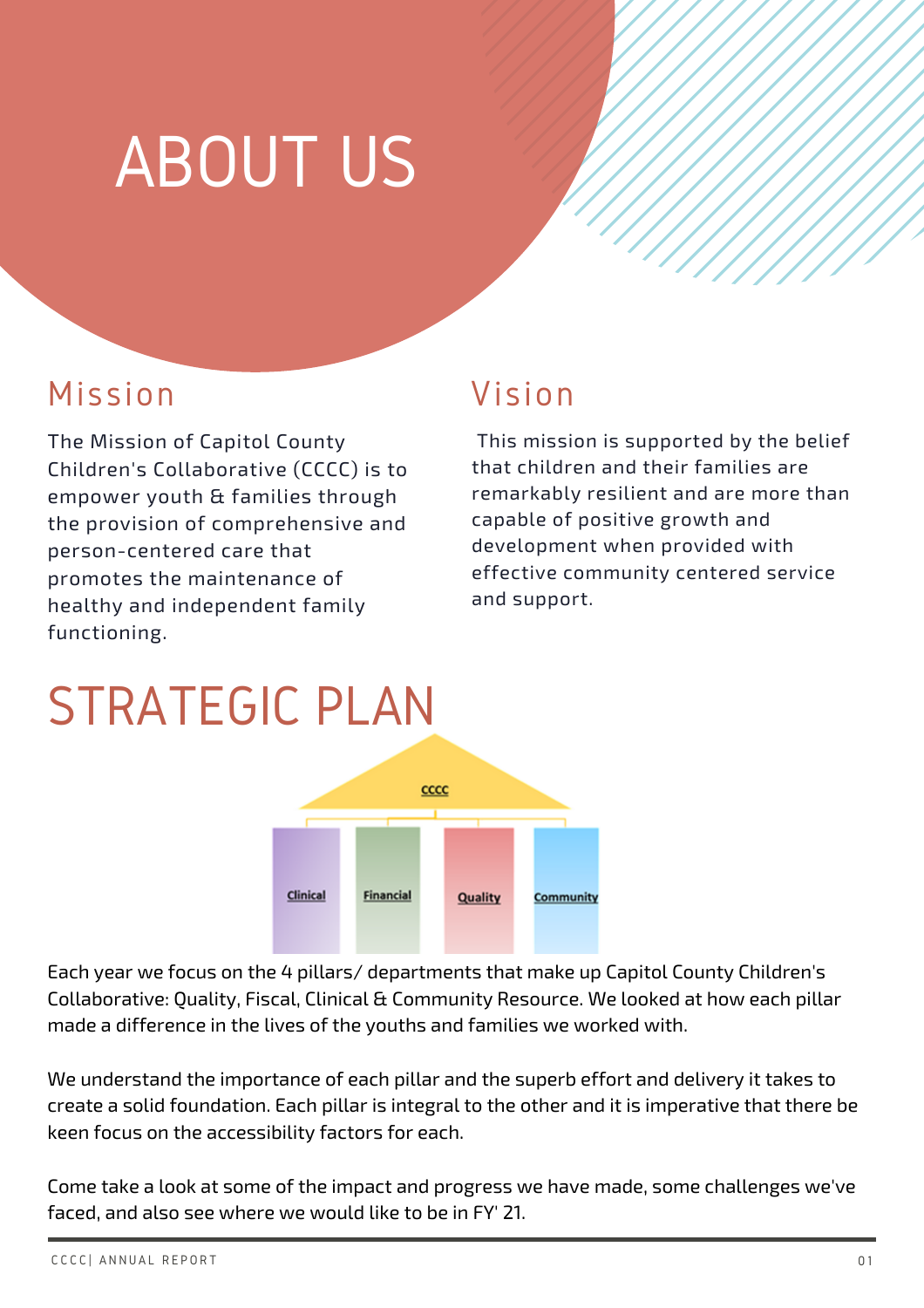### ABOUT US

#### Mission

The Mission of Capitol County Children's Collaborative (CCCC) is to empower youth & families through the provision of comprehensive and person-centered care that promotes the maintenance of healthy and independent family functioning.

#### Vision

This mission is supported by the belief that children and their families are remarkably resilient and are more than capable of positive growth and development when provided with effective community centered service and support.

### STRATEGIC PLAN



Each year we focus on the 4 pillars/ departments that make up Capitol County Children's Collaborative: Quality, Fiscal, Clinical & Community Resource. We looked at how each pillar made a difference in the lives of the youths and families we worked with.

We understand the importance of each pillar and the superb effort and delivery it takes to create a solid foundation. Each pillar is integral to the other and it is imperative that there be keen focus on the accessibility factors for each.

Come take a look at some of the impact and progress we have made, some challenges we've faced, and also see where we would like to be in FY' 21.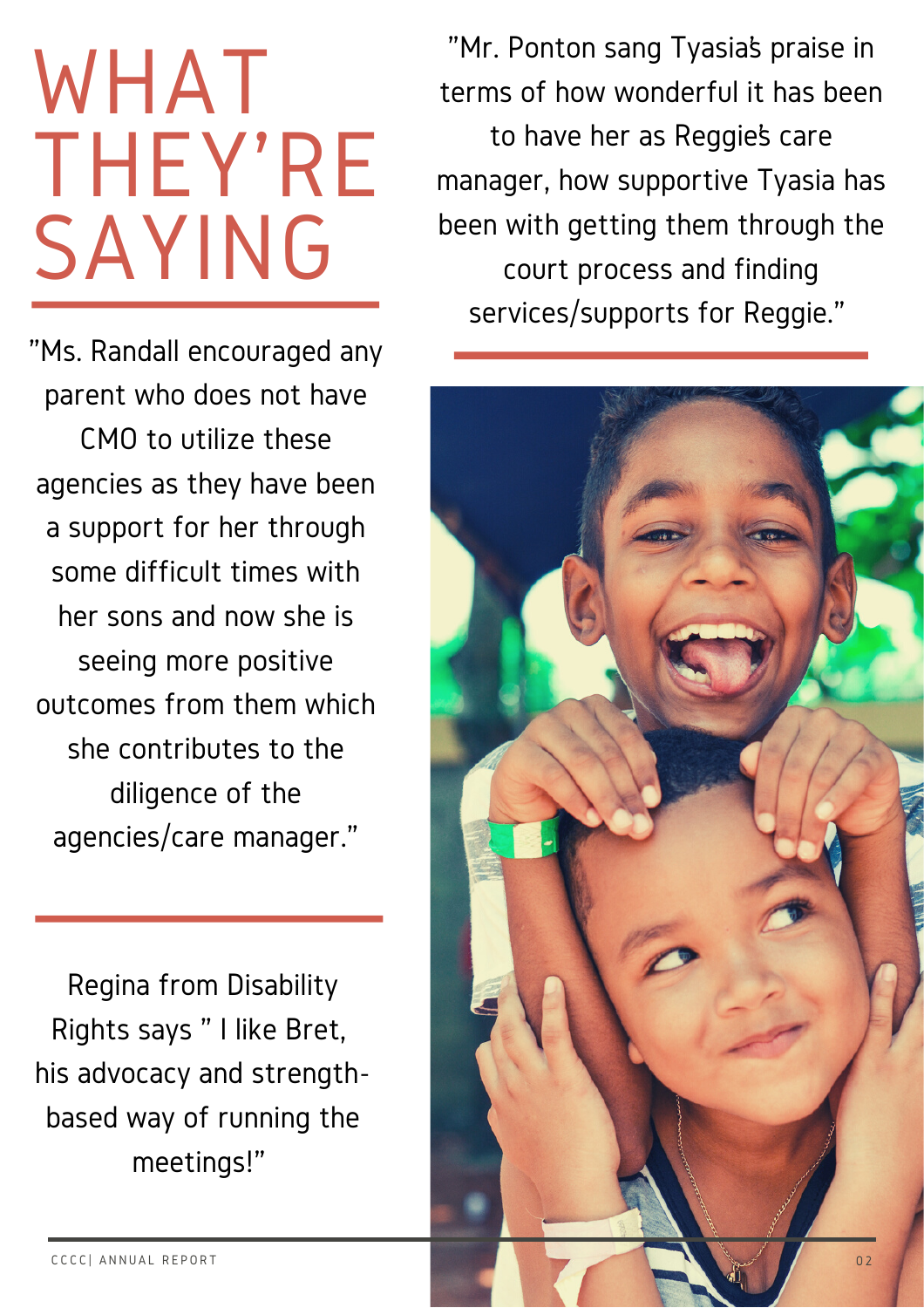### WHAT THEY'RE SAYING

"Ms. Randall encouraged any parent who does not have CMO to utilize these agencies as they have been a support for her through some difficult times with her sons and now she is seeing more positive outcomes from them which she contributes to the diligence of the agencies/care manager."

Regina from Disability Rights says " I like Bret, his advocacy and strengthbased way of running the meetings!"

"Mr. Ponton sang Tyasia's praise in terms of how wonderful it has been to have her as Reggie's care manager, how supportive Tyasia has been with getting them through the court process and finding services/supports for Reggie."

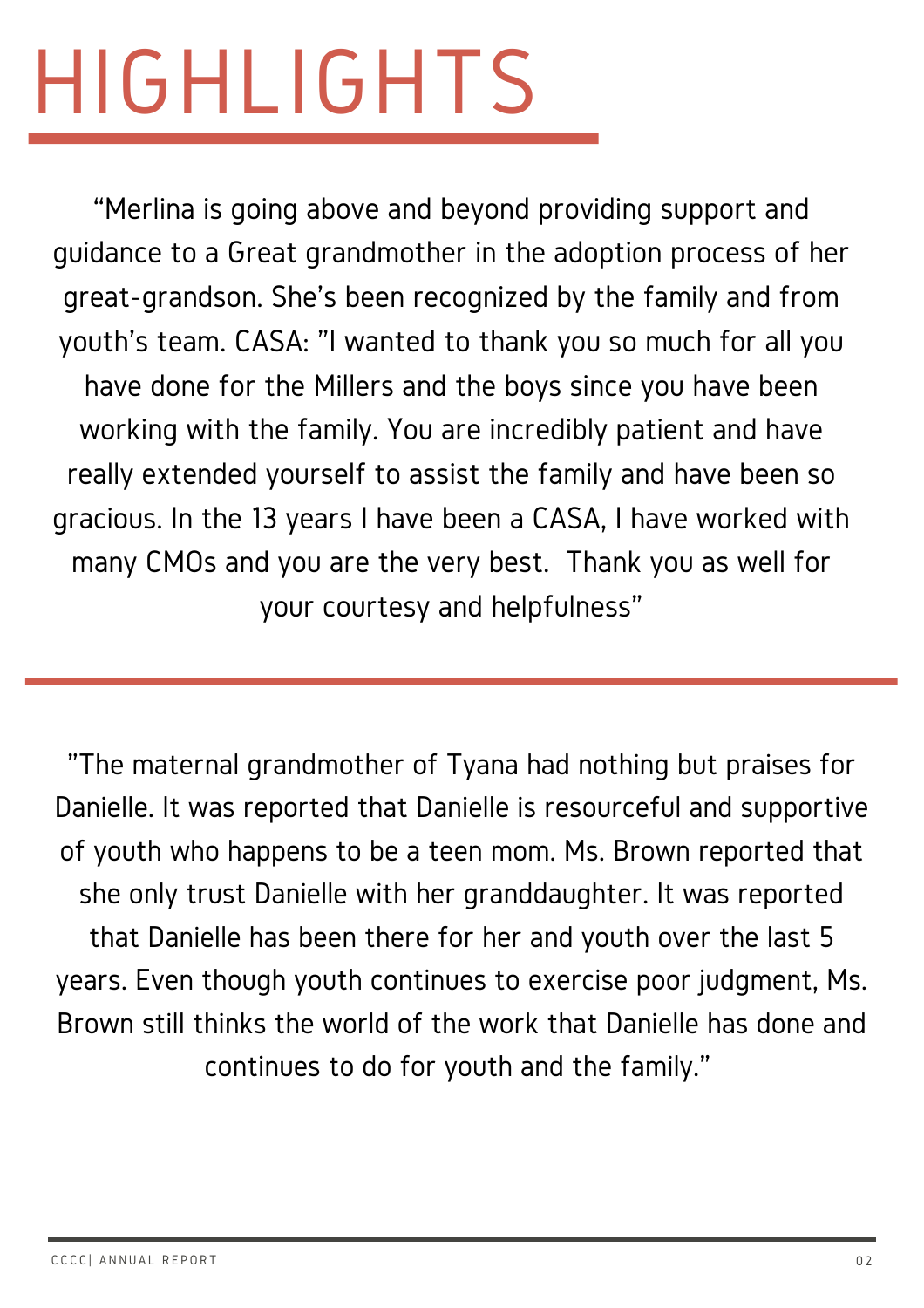# HIGHLIGHTS

"Merlina is going above and beyond providing support and guidance to a Great grandmother in the adoption process of her great-grandson. She's been recognized by the family and from youth's team. CASA: "I wanted to thank you so much for all you have done for the Millers and the boys since you have been working with the family. You are incredibly patient and have really extended yourself to assist the family and have been so gracious. In the 13 years I have been a CASA, I have worked with many CMOs and you are the very best. Thank you as well for your courtesy and helpfulness"

"The maternal grandmother of Tyana had nothing but praises for Danielle. It was reported that Danielle is resourceful and supportive of youth who happens to be a teen mom. Ms. Brown reported that she only trust Danielle with her granddaughter. It was reported that Danielle has been there for her and youth over the last 5 years. Even though youth continues to exercise poor judgment, Ms. Brown still thinks the world of the work that Danielle has done and continues to do for youth and the family."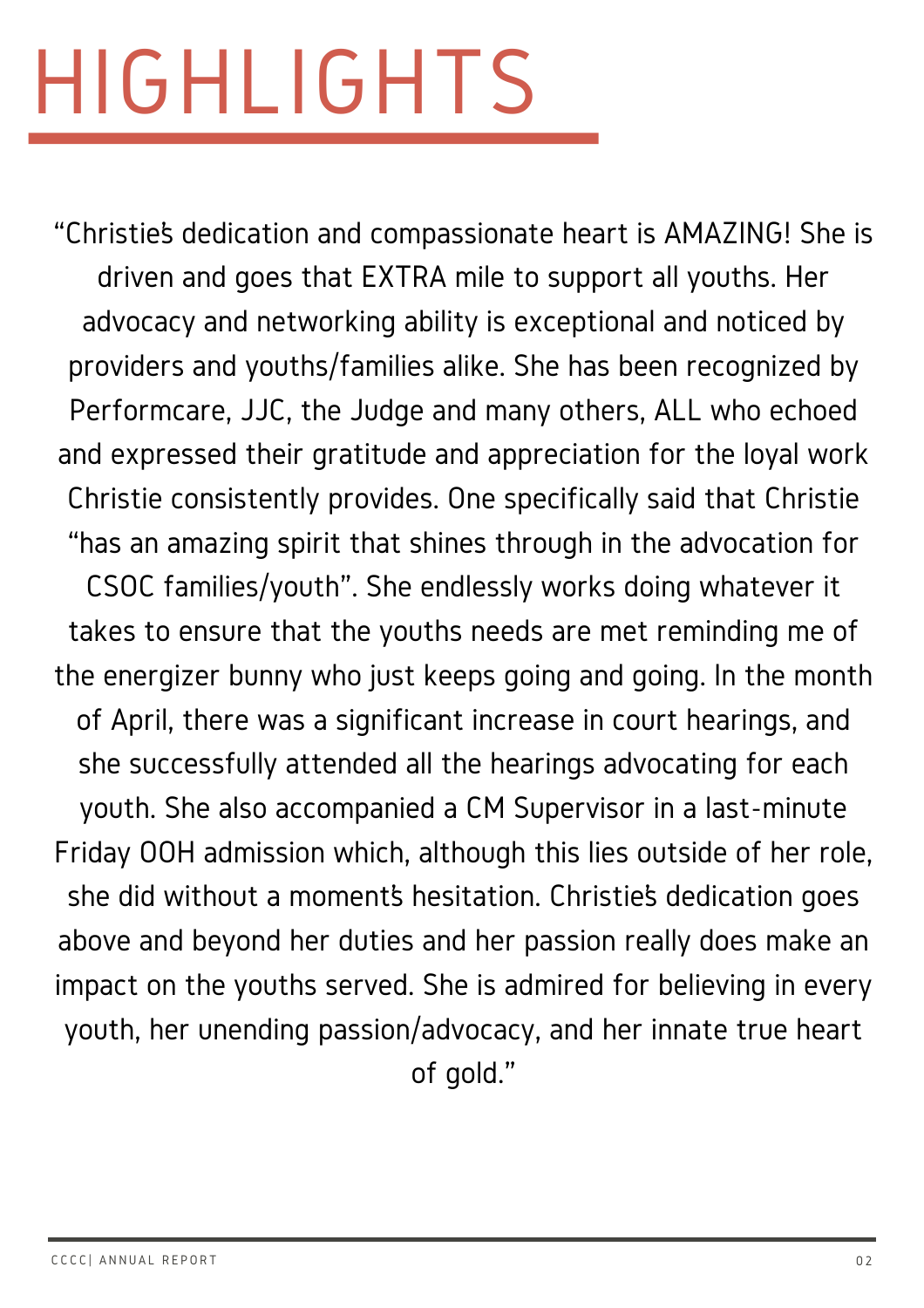# HIGHLIGHTS

"Christie's dedication and compassionate heart is AMAZING! She is driven and goes that EXTRA mile to support all youths. Her advocacy and networking ability is exceptional and noticed by providers and youths/families alike. She has been recognized by Performcare, JJC, the Judge and many others, ALL who echoed and expressed their gratitude and appreciation for the loyal work Christie consistently provides. One specifically said that Christie "has an amazing spirit that shines through in the advocation for CSOC families/youth". She endlessly works doing whatever it takes to ensure that the youths needs are met reminding me of the energizer bunny who just keeps going and going. In the month of April, there was a significant increase in court hearings, and she successfully attended all the hearings advocating for each youth. She also accompanied a CM Supervisor in a last-minute Friday OOH admission which, although this lies outside of her role, she did without a moment's hesitation. Christie's dedication goes above and beyond her duties and her passion really does make an impact on the youths served. She is admired for believing in every youth, her unending passion/advocacy, and her innate true heart of gold."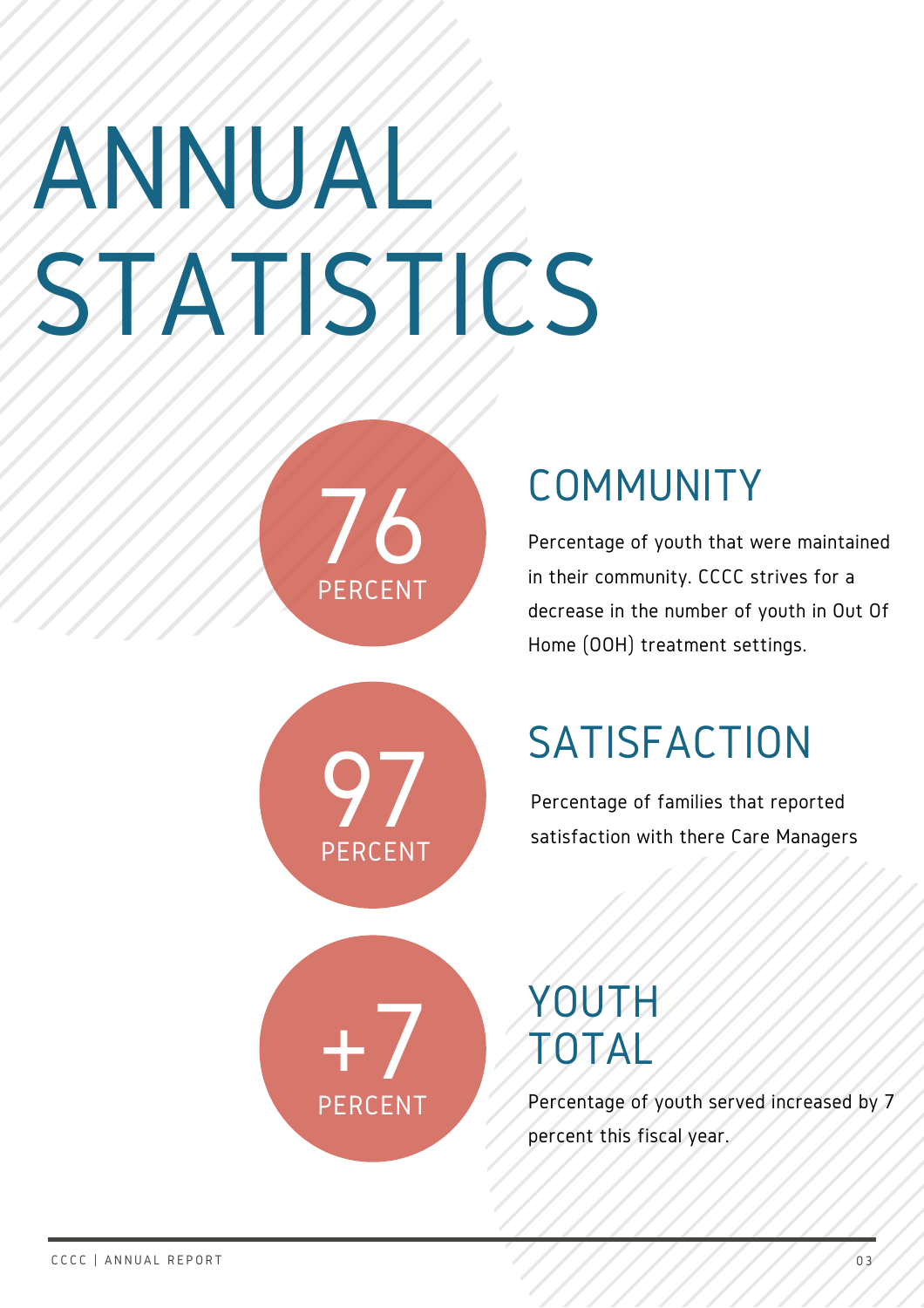# NNUA TISTICS



### COMMUNITY

Percentage of youth that were maintained in their community. CCCC strives for a decrease in the number of youth in Out Of Home (OOH) treatment settings.



### **SATISFACTION**

Percentage of families that reported satisfaction with there Care Managers



### YOUTH TOTAL

Percentage of youth served increased by 7 percent this fiscal year.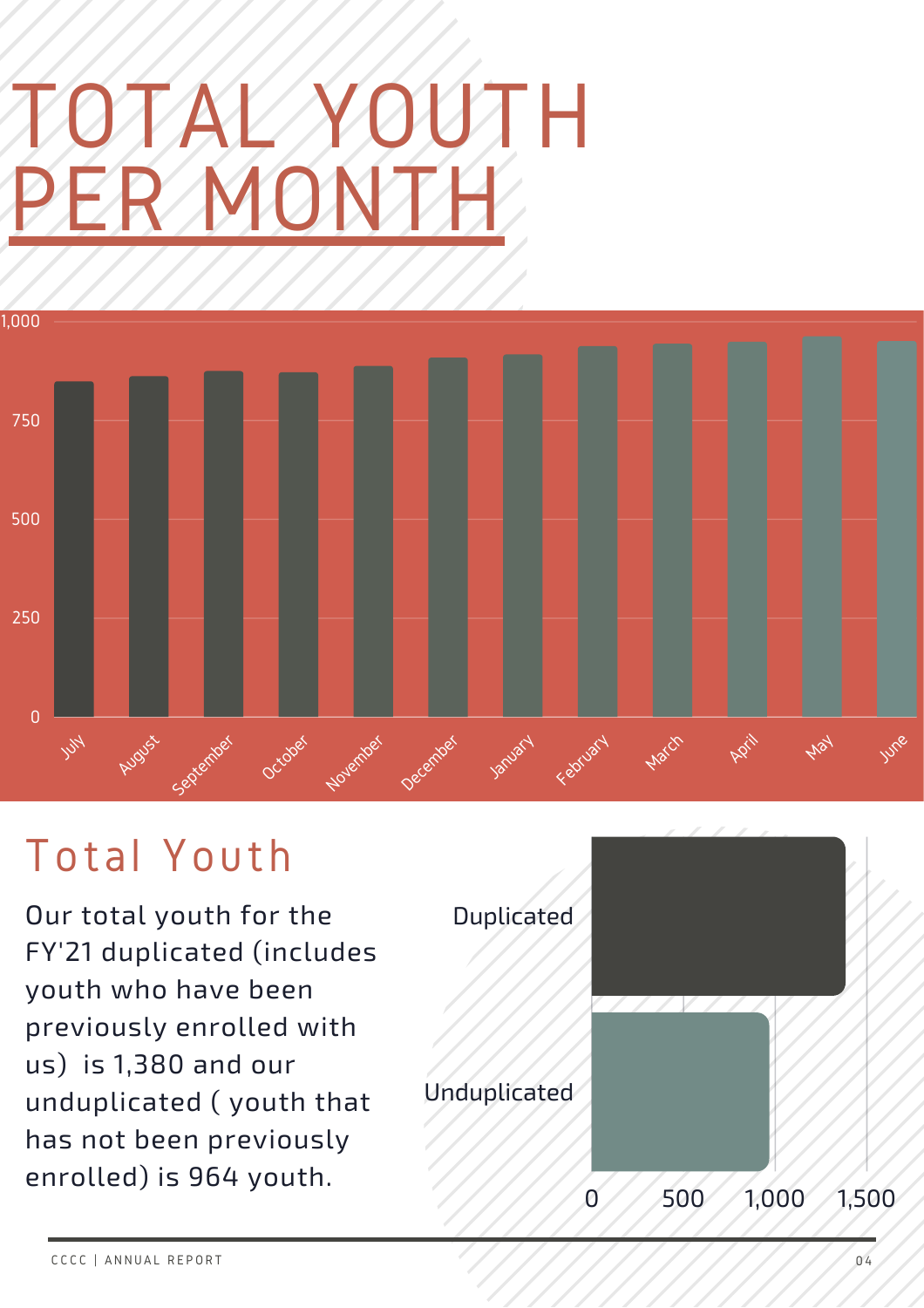## TOTAL YOUTH PER MONTH



### Total Youth

Our total youth for the FY'21 duplicated (includes youth who have been previously enrolled with us) is 1,380 and our unduplicated ( youth that has not been previously enrolled) is 964 youth.

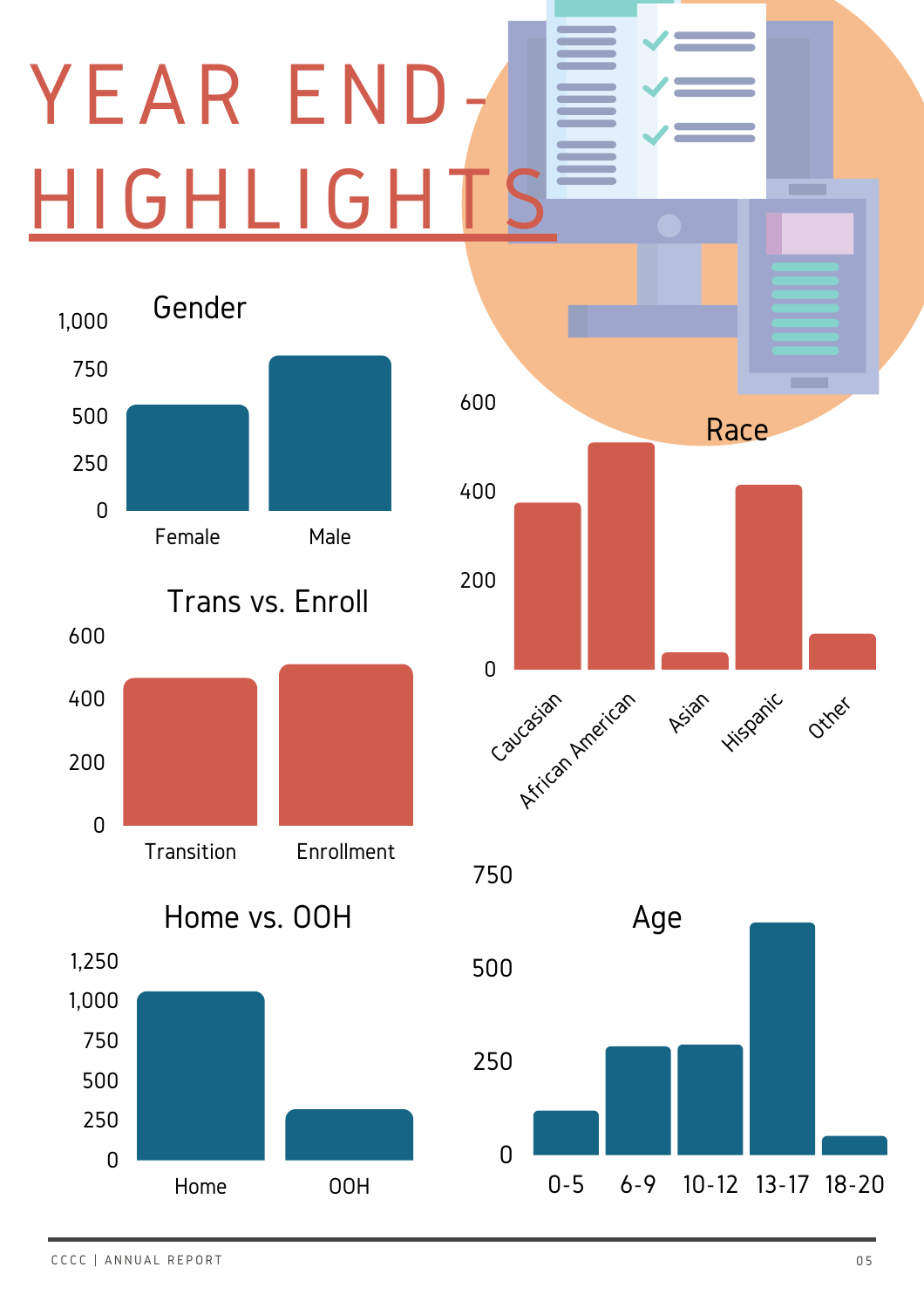# YEAR END HIGHLIGH



Home OOH



**CONTRACT** 

750

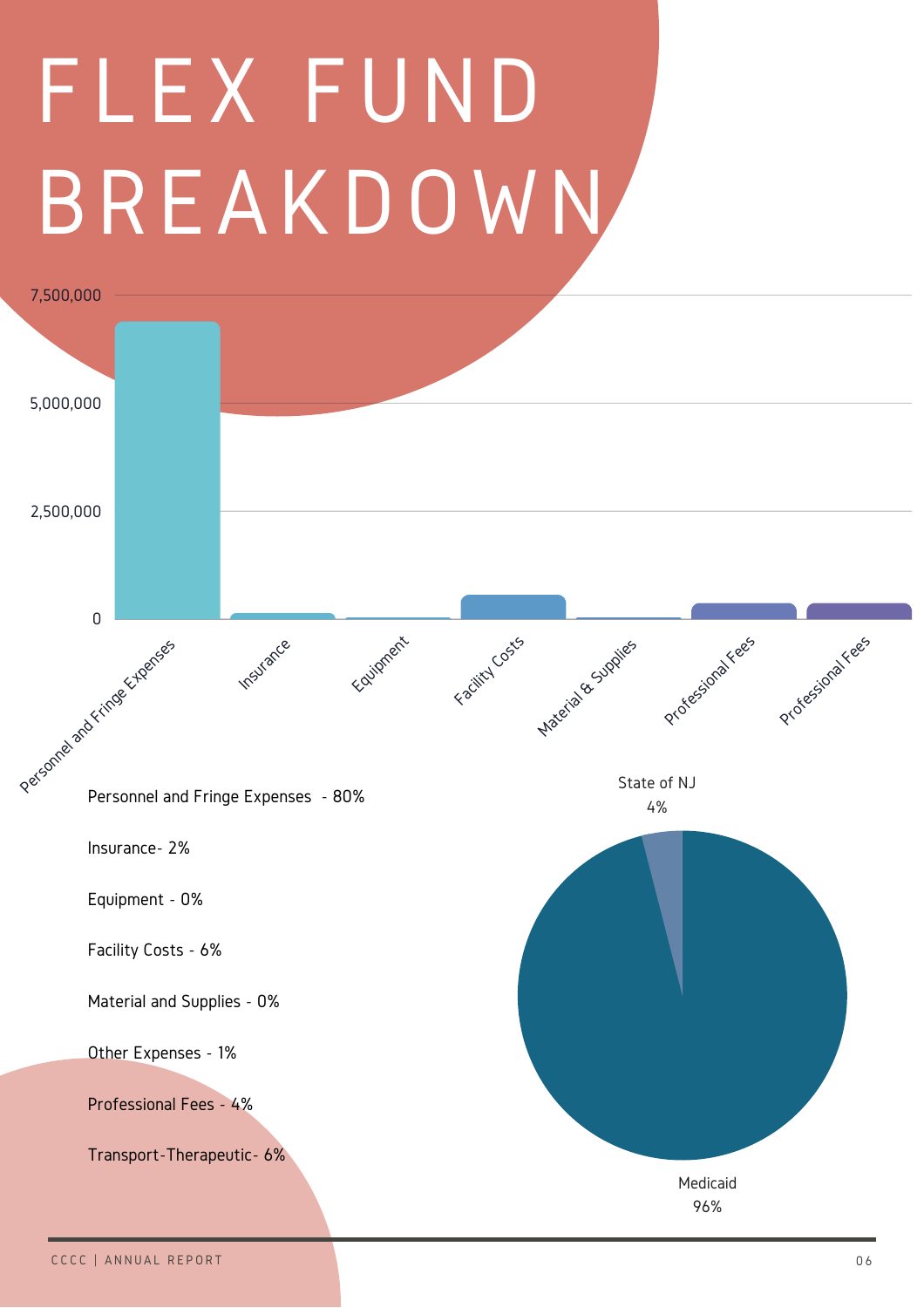# FLEX FUND BREAKDOWN

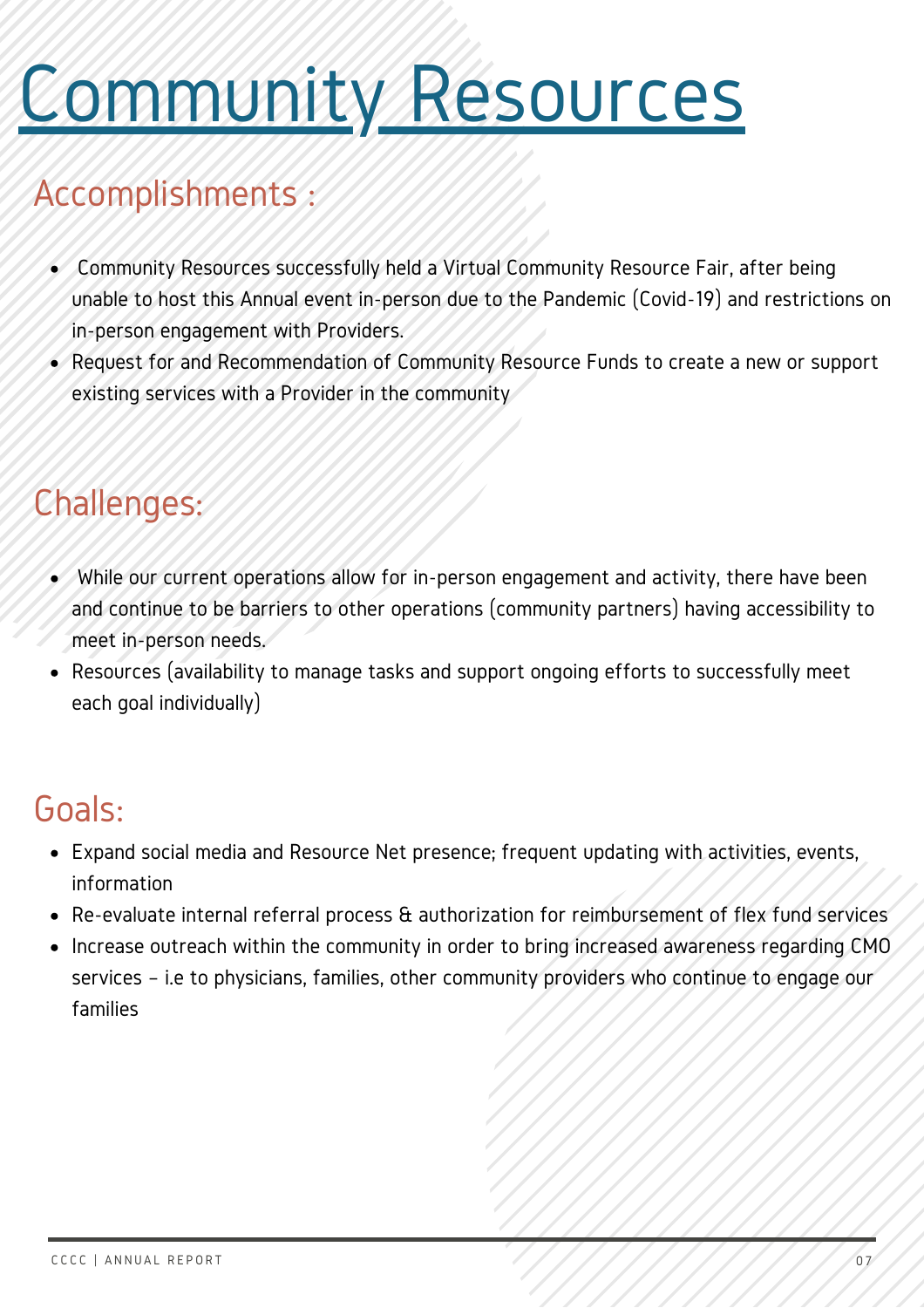## Community Resources

### **Accomplishments**

- Community Resources successfully held a Virtual Community Resource Fair, after being unable to host this Annual event in-person due to the Pandemic (Covid-19) and restrictions on in-person engagement with Providers.
- Request for and Recommendation of Community Resource Funds to create a new or support existing services with a Provider in the community

### Challenges:

- While our current operations allow for in-person engagement and activity, there have been and continue to be barriers to other operations (community partners) having accessibility to meet in-person needs.
- Resources (availability to manage tasks and support ongoing efforts to successfully meet each goal individually)

- Expand social media and Resource Net presence; frequent updating with activities, events, information
- Re-evaluate internal referral process & authorization for reimbursement of flex fund services
- Increase outreach within the community in order to bring increased awareness regarding CMO services – i.e to physicians, families, other community providers who continue to engage our families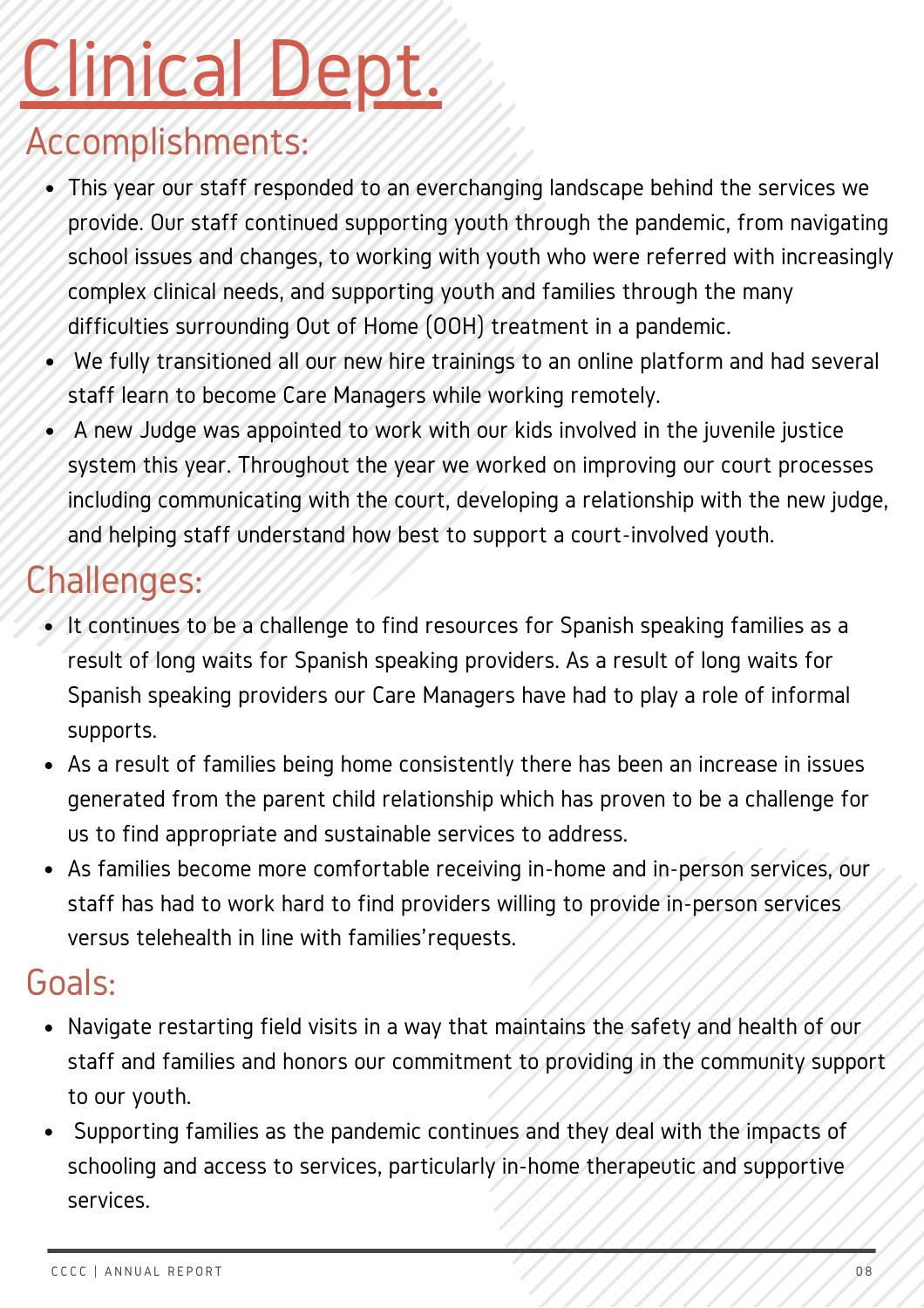## Clinical Dept.

### Accomplishments:

- This year our staff responded to an everchanging landscape behind the services we provide. Our staff continued supporting youth through the pandemic, from navigating school issues and changes, to working with youth who were referred with increasingly complex clinical needs, and supporting youth and families through the many difficulties surrounding Out of Home (OOH) treatment in a pandemic.
- We fully transitioned all our new hire trainings to an online platform and had several staff learn to become Care Managers while working remotely.
- A new Judge was appointed to work with our kids involved in the juvenile justice system this year. Throughout the year we worked on improving our court processes including communicating with the court, developing a relationship with the new judge, and helping staff understand how best to support a court-involved youth.

### Challenges:

- It continues to be a challenge to find resources for Spanish speaking families as a result of long waits for Spanish speaking providers. As a result of long waits for Spanish speaking providers our Care Managers have had to play a role of informal supports.
- As a result of families being home consistently there has been an increase in issues generated from the parent child relationship which has proven to be a challenge for us to find appropriate and sustainable services to address.
- As families become more comfortable receiving in-home and in-person services, our staff has had to work hard to find providers willing to provide in-person services versus telehealth in line with families'requests.

- Navigate restarting field visits in a way that maintains the safety and health of our staff and families and honors our commitment to providing in the community support to our youth.
- Supporting families as the pandemic continues and they deal with the impacts of schooling and access to services, particularly in-home therapeutic and supportive services.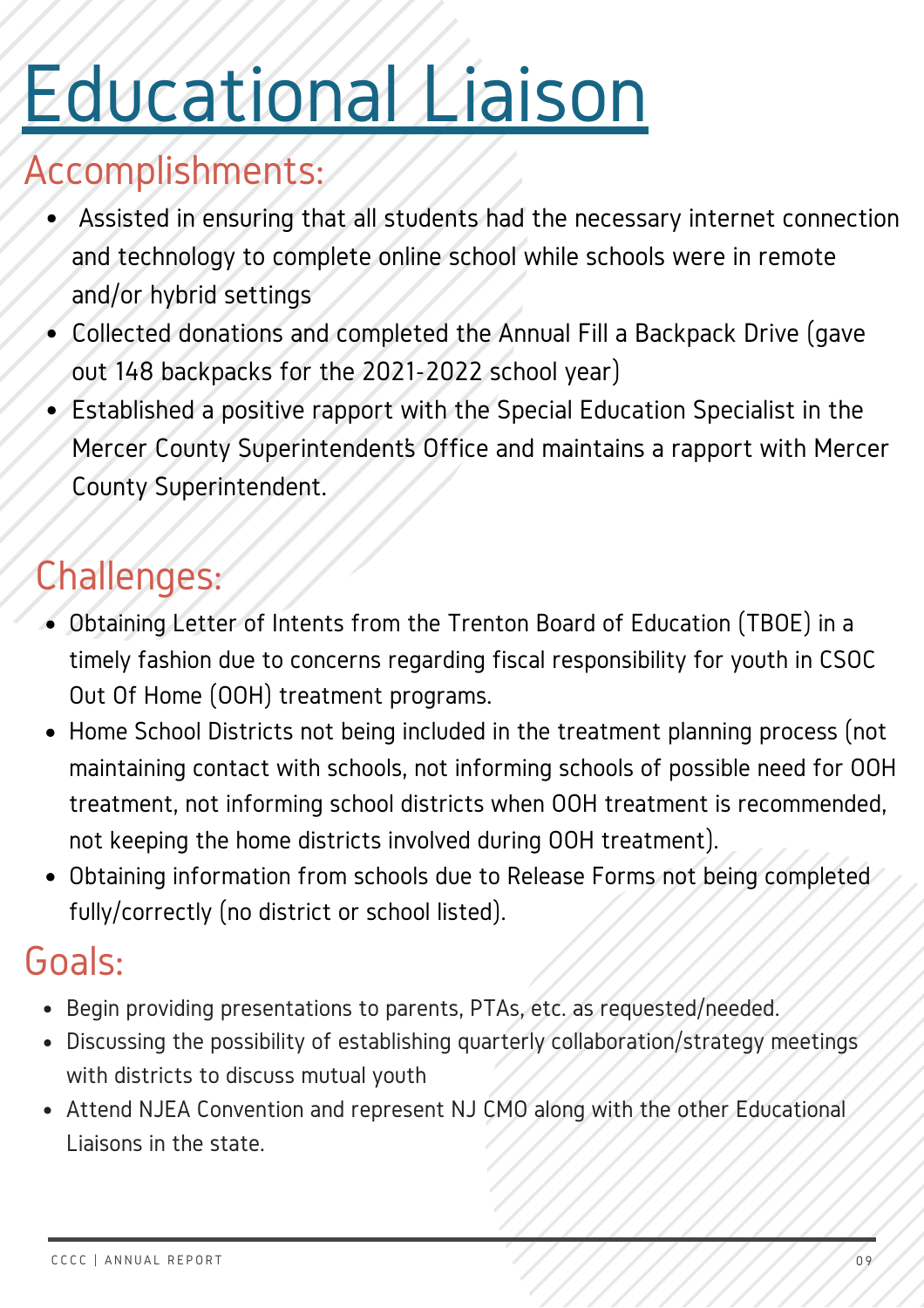### Educational Liaison

### Accomplishments:

- Assisted in ensuring that all students had the necessary internet connection and technology to complete online school while schools were in remote and/or hybrid settings
- Collected donations and completed the Annual Fill a Backpack Drive (gave out 148 backpacks for the 2021-2022 school year)
- Established a positive rapport with the Special Education Specialist in the Mercer County Superintendent's Office and maintains a rapport with Mercer County Superintendent.

### Challenges:

- Obtaining Letter of Intents from the Trenton Board of Education (TBOE) in a timely fashion due to concerns regarding fiscal responsibility for youth in CSOC Out Of Home (OOH) treatment programs.
- Home School Districts not being included in the treatment planning process (not maintaining contact with schools, not informing schools of possible need for OOH treatment, not informing school districts when OOH treatment is recommended, not keeping the home districts involved during OOH treatment).
- Obtaining information from schools due to Release Forms not being completed fully/correctly (no district or school listed).

- Begin providing presentations to parents, PTAs, etc. as requested/needed.
- Discussing the possibility of establishing quarterly collaboration/strategy meetings with districts to discuss mutual youth
- Attend NJEA Convention and represent NJ CMO along with the other Educational Liaisons in the state.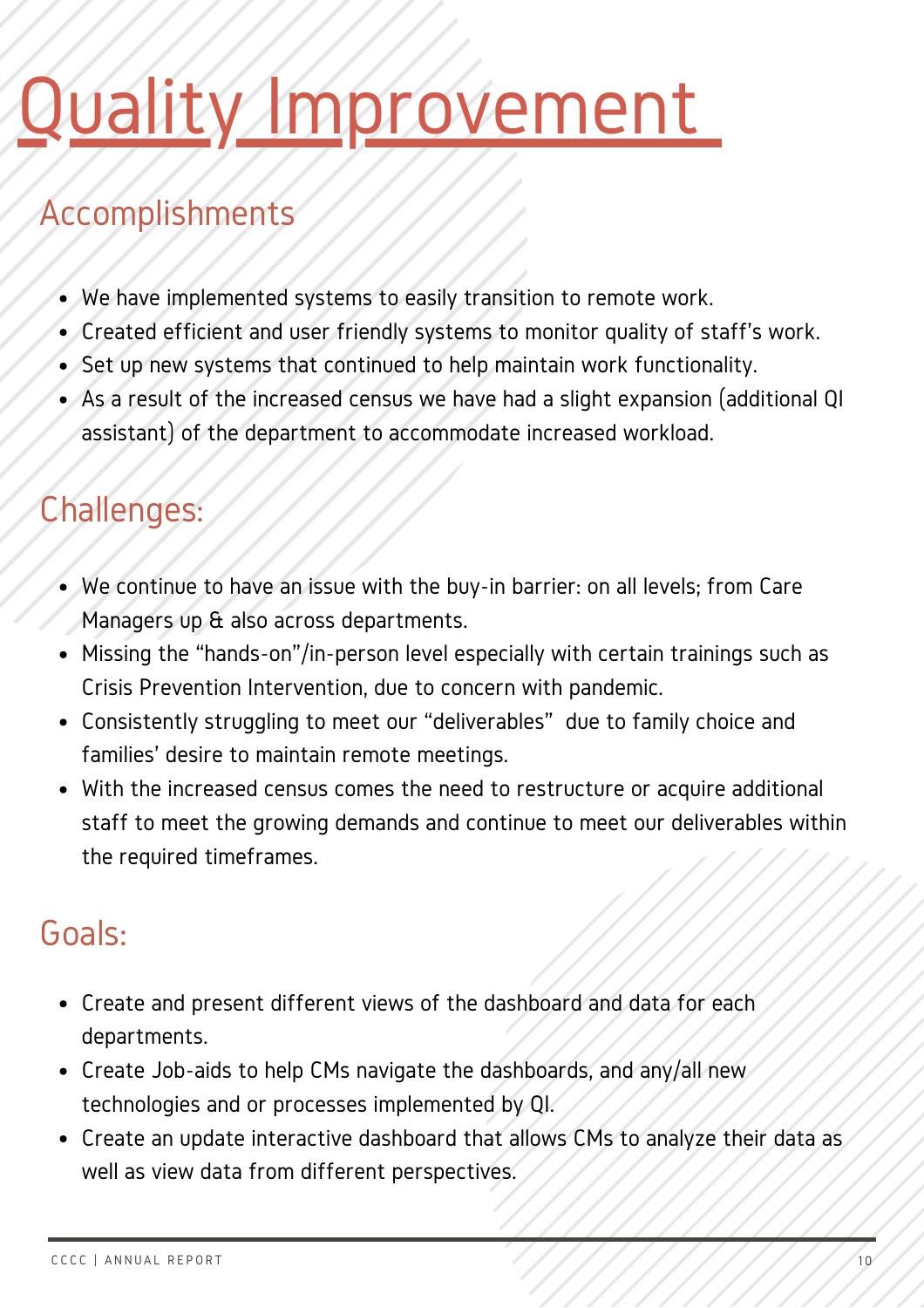### vality Improvement

### Accomplishments

- We have implemented systems to easily transition to remote work.
- Created efficient and user friendly systems to monitor quality of staff's work.
- Set up new systems that continued to help maintain work functionality.
- As a result of the increased census we have had a slight expansion (additional QI assistant) of the department to accommodate increased workload.

#### Challenges:

- We continue to have an issue with the buy-in barrier: on all levels; from Care Managers up  $\alpha$  also across departments.
- Missing the "hands-on"/in-person level especially with certain trainings such as Crisis Prevention Intervention, due to concern with pandemic.
- Consistently struggling to meet our "deliverables" due to family choice and families' desire to maintain remote meetings.
- With the increased census comes the need to restructure or acquire additional staff to meet the growing demands and continue to meet our deliverables within the required timeframes.

- Create and present different views of the dashboard and data for each departments.
- Create Job-aids to help CMs navigate the dashboards, and any/all new technologies and or processes implemented by QI.
- Create an update interactive dashboard that allows CMs to analyze their data as well as view data from different perspectives.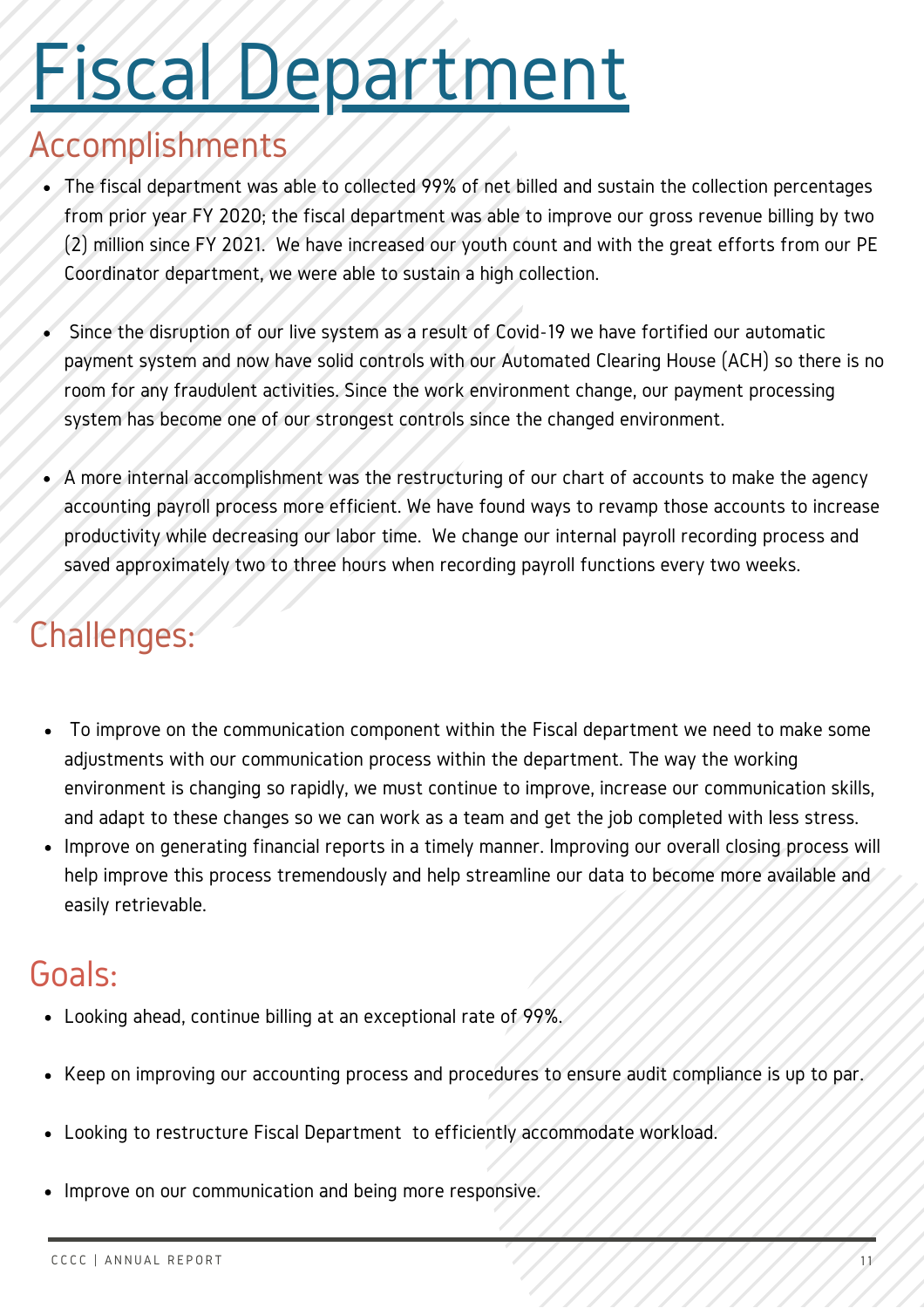### Fiscal Department

#### Accomplishments

- The fiscal department was able to collected 99% of net billed and sustain the collection percentages from prior year FY 2020; the fiscal department was able to improve our gross revenue billing by two (2) million since FY 2021. We have increased our youth count and with the great efforts from our PE Coordinator department, we were able to sustain a high collection.
- Since the disruption of our live system as a result of Covid-19 we have fortified our automatic payment system and now have solid controls with our Automated Clearing House (ACH) so there is no room for any fraudulent activities. Since the work environment change, our payment processing system has become one of our strongest controls since the changed environment.
- A more internal accomplishment was the restructuring of our chart of accounts to make the agency accounting payroll process more efficient. We have found ways to revamp those accounts to increase productivity while decreasing our labor time. We change our internal payroll recording process and saved approximately two to three hours when recording payroll functions every two weeks.

#### Challenges:

- To improve on the communication component within the Fiscal department we need to make some adjustments with our communication process within the department. The way the working environment is changing so rapidly, we must continue to improve, increase our communication skills, and adapt to these changes so we can work as a team and get the job completed with less stress.
- Improve on generating financial reports in a timely manner. Improving our overall closing process will help improve this process tremendously and help streamline our data to become more available and easily retrievable.

- Looking ahead, continue billing at an exceptional rate of 99%.
- Keep on improving our accounting process and procedures to ensure audit compliance is up to par.
- Looking to restructure Fiscal Department to efficiently accommodate workload.
- Improve on our communication and being more responsive.